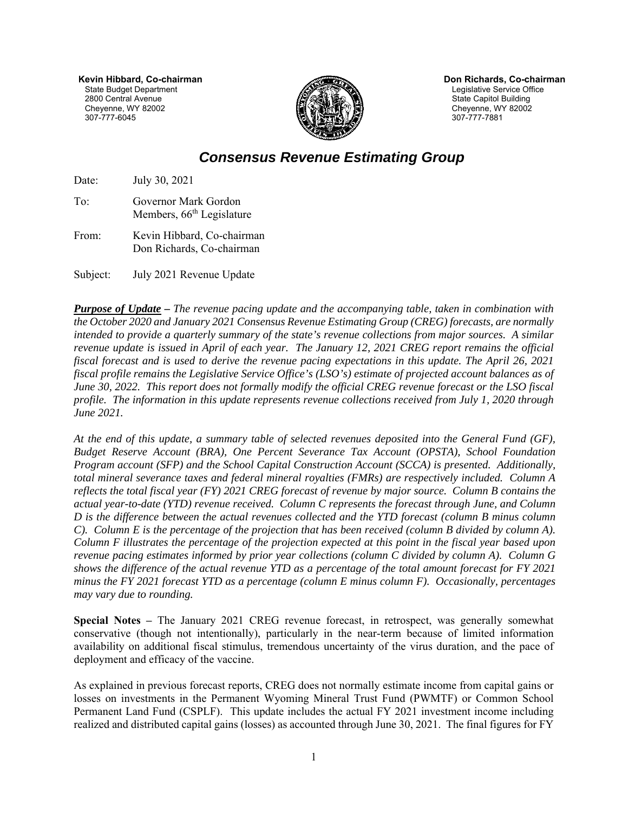**Kevin Hibbard, Co-chairman**  State Budget Department 2800 Central Avenue Cheyenne, WY 82002 307-777-6045



 **Don Richards, Co-chairman**  Legislative Service Office State Capitol Building Cheyenne, WY 82002 307-777-7881

## *Consensus Revenue Estimating Group*

Date: July 30, 2021

- To: Governor Mark Gordon Members,  $66<sup>th</sup>$  Legislature
- From: Kevin Hibbard, Co-chairman Don Richards, Co-chairman

Subject: July 2021 Revenue Update

*Purpose of Update – The revenue pacing update and the accompanying table, taken in combination with the October 2020 and January 2021 Consensus Revenue Estimating Group (CREG) forecasts, are normally intended to provide a quarterly summary of the state's revenue collections from major sources. A similar revenue update is issued in April of each year. The January 12, 2021 CREG report remains the official fiscal forecast and is used to derive the revenue pacing expectations in this update. The April 26, 2021 fiscal profile remains the Legislative Service Office's (LSO's) estimate of projected account balances as of June 30, 2022. This report does not formally modify the official CREG revenue forecast or the LSO fiscal profile. The information in this update represents revenue collections received from July 1, 2020 through June 2021.* 

*At the end of this update, a summary table of selected revenues deposited into the General Fund (GF), Budget Reserve Account (BRA), One Percent Severance Tax Account (OPSTA), School Foundation Program account (SFP) and the School Capital Construction Account (SCCA) is presented. Additionally, total mineral severance taxes and federal mineral royalties (FMRs) are respectively included. Column A reflects the total fiscal year (FY) 2021 CREG forecast of revenue by major source. Column B contains the actual year-to-date (YTD) revenue received. Column C represents the forecast through June, and Column D is the difference between the actual revenues collected and the YTD forecast (column B minus column C). Column E is the percentage of the projection that has been received (column B divided by column A). Column F illustrates the percentage of the projection expected at this point in the fiscal year based upon revenue pacing estimates informed by prior year collections (column C divided by column A). Column G shows the difference of the actual revenue YTD as a percentage of the total amount forecast for FY 2021 minus the FY 2021 forecast YTD as a percentage (column E minus column F). Occasionally, percentages may vary due to rounding.* 

**Special Notes –** The January 2021 CREG revenue forecast, in retrospect, was generally somewhat conservative (though not intentionally), particularly in the near-term because of limited information availability on additional fiscal stimulus, tremendous uncertainty of the virus duration, and the pace of deployment and efficacy of the vaccine.

As explained in previous forecast reports, CREG does not normally estimate income from capital gains or losses on investments in the Permanent Wyoming Mineral Trust Fund (PWMTF) or Common School Permanent Land Fund (CSPLF). This update includes the actual FY 2021 investment income including realized and distributed capital gains (losses) as accounted through June 30, 2021. The final figures for FY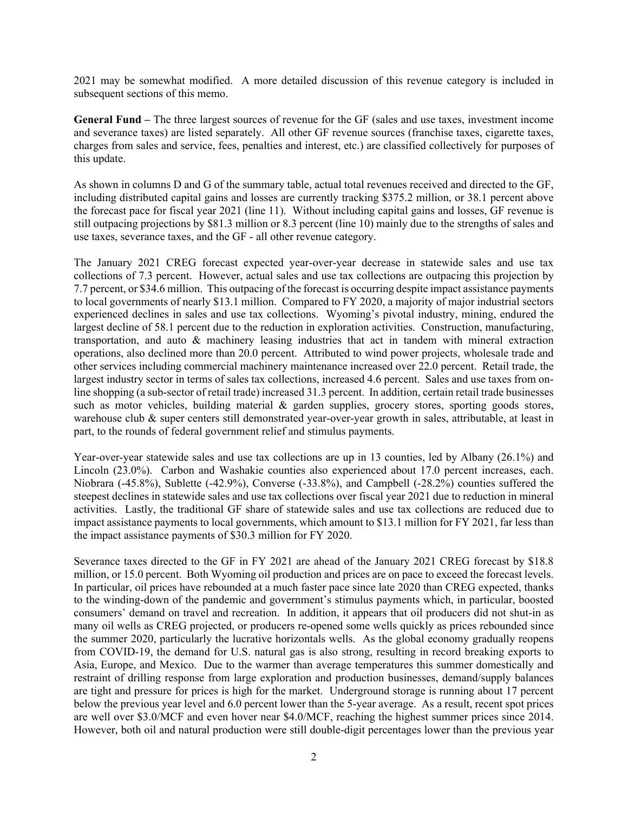2021 may be somewhat modified. A more detailed discussion of this revenue category is included in subsequent sections of this memo.

**General Fund –** The three largest sources of revenue for the GF (sales and use taxes, investment income and severance taxes) are listed separately. All other GF revenue sources (franchise taxes, cigarette taxes, charges from sales and service, fees, penalties and interest, etc.) are classified collectively for purposes of this update.

As shown in columns D and G of the summary table, actual total revenues received and directed to the GF, including distributed capital gains and losses are currently tracking \$375.2 million, or 38.1 percent above the forecast pace for fiscal year 2021 (line 11). Without including capital gains and losses, GF revenue is still outpacing projections by \$81.3 million or 8.3 percent (line 10) mainly due to the strengths of sales and use taxes, severance taxes, and the GF - all other revenue category.

The January 2021 CREG forecast expected year-over-year decrease in statewide sales and use tax collections of 7.3 percent. However, actual sales and use tax collections are outpacing this projection by 7.7 percent, or \$34.6 million. This outpacing of the forecast is occurring despite impact assistance payments to local governments of nearly \$13.1 million. Compared to FY 2020, a majority of major industrial sectors experienced declines in sales and use tax collections. Wyoming's pivotal industry, mining, endured the largest decline of 58.1 percent due to the reduction in exploration activities. Construction, manufacturing, transportation, and auto & machinery leasing industries that act in tandem with mineral extraction operations, also declined more than 20.0 percent. Attributed to wind power projects, wholesale trade and other services including commercial machinery maintenance increased over 22.0 percent. Retail trade, the largest industry sector in terms of sales tax collections, increased 4.6 percent. Sales and use taxes from online shopping (a sub-sector of retail trade) increased 31.3 percent. In addition, certain retail trade businesses such as motor vehicles, building material & garden supplies, grocery stores, sporting goods stores, warehouse club & super centers still demonstrated year-over-year growth in sales, attributable, at least in part, to the rounds of federal government relief and stimulus payments.

Year-over-year statewide sales and use tax collections are up in 13 counties, led by Albany (26.1%) and Lincoln (23.0%). Carbon and Washakie counties also experienced about 17.0 percent increases, each. Niobrara (-45.8%), Sublette (-42.9%), Converse (-33.8%), and Campbell (-28.2%) counties suffered the steepest declines in statewide sales and use tax collections over fiscal year 2021 due to reduction in mineral activities. Lastly, the traditional GF share of statewide sales and use tax collections are reduced due to impact assistance payments to local governments, which amount to \$13.1 million for FY 2021, far less than the impact assistance payments of \$30.3 million for FY 2020.

Severance taxes directed to the GF in FY 2021 are ahead of the January 2021 CREG forecast by \$18.8 million, or 15.0 percent. Both Wyoming oil production and prices are on pace to exceed the forecast levels. In particular, oil prices have rebounded at a much faster pace since late 2020 than CREG expected, thanks to the winding-down of the pandemic and government's stimulus payments which, in particular, boosted consumers' demand on travel and recreation. In addition, it appears that oil producers did not shut-in as many oil wells as CREG projected, or producers re-opened some wells quickly as prices rebounded since the summer 2020, particularly the lucrative horizontals wells. As the global economy gradually reopens from COVID-19, the demand for U.S. natural gas is also strong, resulting in record breaking exports to Asia, Europe, and Mexico. Due to the warmer than average temperatures this summer domestically and restraint of drilling response from large exploration and production businesses, demand/supply balances are tight and pressure for prices is high for the market. Underground storage is running about 17 percent below the previous year level and 6.0 percent lower than the 5-year average. As a result, recent spot prices are well over \$3.0/MCF and even hover near \$4.0/MCF, reaching the highest summer prices since 2014. However, both oil and natural production were still double-digit percentages lower than the previous year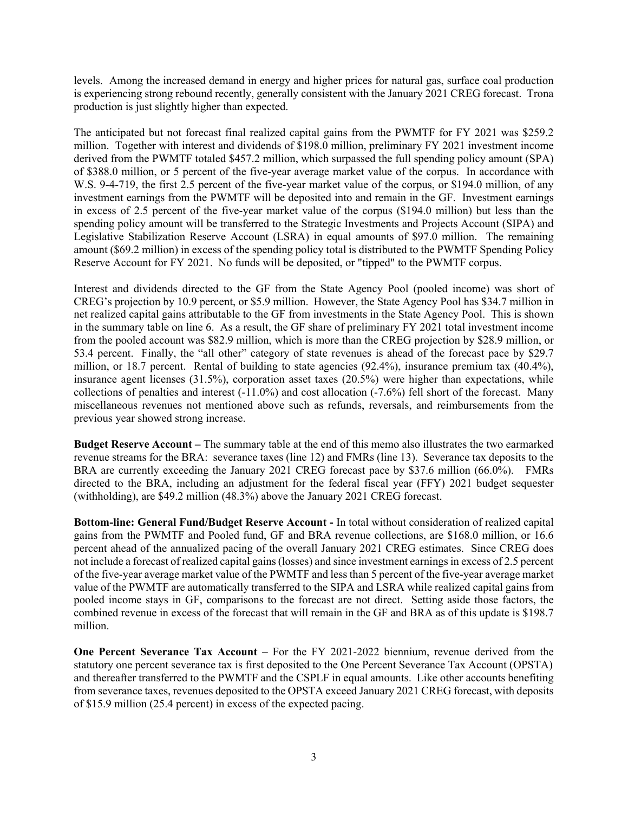levels. Among the increased demand in energy and higher prices for natural gas, surface coal production is experiencing strong rebound recently, generally consistent with the January 2021 CREG forecast. Trona production is just slightly higher than expected.

The anticipated but not forecast final realized capital gains from the PWMTF for FY 2021 was \$259.2 million. Together with interest and dividends of \$198.0 million, preliminary FY 2021 investment income derived from the PWMTF totaled \$457.2 million, which surpassed the full spending policy amount (SPA) of \$388.0 million, or 5 percent of the five-year average market value of the corpus. In accordance with W.S. 9-4-719, the first 2.5 percent of the five-year market value of the corpus, or \$194.0 million, of any investment earnings from the PWMTF will be deposited into and remain in the GF. Investment earnings in excess of 2.5 percent of the five-year market value of the corpus (\$194.0 million) but less than the spending policy amount will be transferred to the Strategic Investments and Projects Account (SIPA) and Legislative Stabilization Reserve Account (LSRA) in equal amounts of \$97.0 million. The remaining amount (\$69.2 million) in excess of the spending policy total is distributed to the PWMTF Spending Policy Reserve Account for FY 2021. No funds will be deposited, or "tipped" to the PWMTF corpus.

Interest and dividends directed to the GF from the State Agency Pool (pooled income) was short of CREG's projection by 10.9 percent, or \$5.9 million. However, the State Agency Pool has \$34.7 million in net realized capital gains attributable to the GF from investments in the State Agency Pool. This is shown in the summary table on line 6. As a result, the GF share of preliminary FY 2021 total investment income from the pooled account was \$82.9 million, which is more than the CREG projection by \$28.9 million, or 53.4 percent. Finally, the "all other" category of state revenues is ahead of the forecast pace by \$29.7 million, or 18.7 percent. Rental of building to state agencies (92.4%), insurance premium tax (40.4%), insurance agent licenses (31.5%), corporation asset taxes (20.5%) were higher than expectations, while collections of penalties and interest  $(-11.0\%)$  and cost allocation  $(-7.6\%)$  fell short of the forecast. Many miscellaneous revenues not mentioned above such as refunds, reversals, and reimbursements from the previous year showed strong increase.

**Budget Reserve Account –** The summary table at the end of this memo also illustrates the two earmarked revenue streams for the BRA: severance taxes (line 12) and FMRs (line 13). Severance tax deposits to the BRA are currently exceeding the January 2021 CREG forecast pace by \$37.6 million (66.0%). FMRs directed to the BRA, including an adjustment for the federal fiscal year (FFY) 2021 budget sequester (withholding), are \$49.2 million (48.3%) above the January 2021 CREG forecast.

**Bottom-line: General Fund/Budget Reserve Account -** In total without consideration of realized capital gains from the PWMTF and Pooled fund, GF and BRA revenue collections, are \$168.0 million, or 16.6 percent ahead of the annualized pacing of the overall January 2021 CREG estimates. Since CREG does not include a forecast of realized capital gains (losses) and since investment earnings in excess of 2.5 percent of the five-year average market value of the PWMTF and less than 5 percent of the five-year average market value of the PWMTF are automatically transferred to the SIPA and LSRA while realized capital gains from pooled income stays in GF, comparisons to the forecast are not direct. Setting aside those factors, the combined revenue in excess of the forecast that will remain in the GF and BRA as of this update is \$198.7 million.

**One Percent Severance Tax Account –** For the FY 2021-2022 biennium, revenue derived from the statutory one percent severance tax is first deposited to the One Percent Severance Tax Account (OPSTA) and thereafter transferred to the PWMTF and the CSPLF in equal amounts. Like other accounts benefiting from severance taxes, revenues deposited to the OPSTA exceed January 2021 CREG forecast, with deposits of \$15.9 million (25.4 percent) in excess of the expected pacing.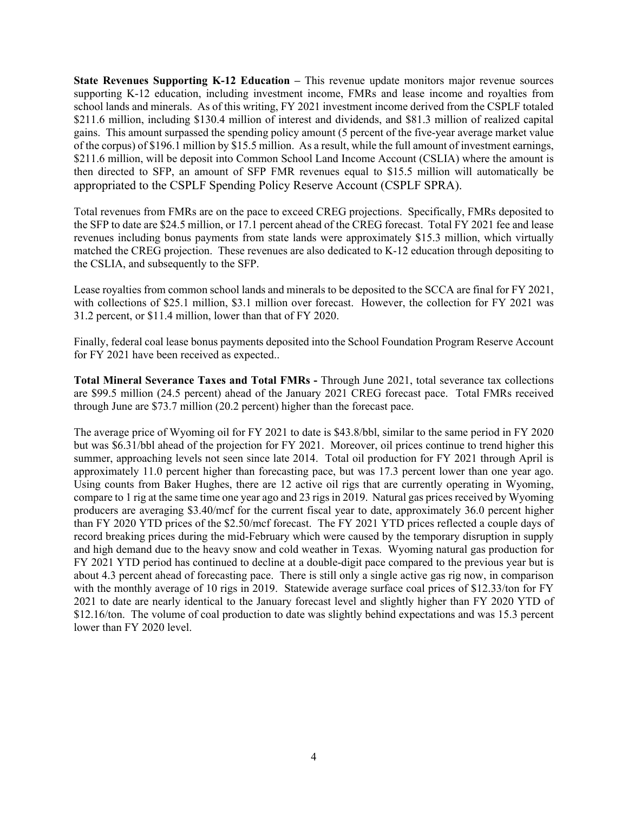**State Revenues Supporting K-12 Education – This revenue update monitors major revenue sources** supporting K-12 education, including investment income, FMRs and lease income and royalties from school lands and minerals. As of this writing, FY 2021 investment income derived from the CSPLF totaled \$211.6 million, including \$130.4 million of interest and dividends, and \$81.3 million of realized capital gains. This amount surpassed the spending policy amount (5 percent of the five-year average market value of the corpus) of \$196.1 million by \$15.5 million. As a result, while the full amount of investment earnings, \$211.6 million, will be deposit into Common School Land Income Account (CSLIA) where the amount is then directed to SFP, an amount of SFP FMR revenues equal to \$15.5 million will automatically be appropriated to the CSPLF Spending Policy Reserve Account (CSPLF SPRA).

Total revenues from FMRs are on the pace to exceed CREG projections. Specifically, FMRs deposited to the SFP to date are \$24.5 million, or 17.1 percent ahead of the CREG forecast. Total FY 2021 fee and lease revenues including bonus payments from state lands were approximately \$15.3 million, which virtually matched the CREG projection. These revenues are also dedicated to K-12 education through depositing to the CSLIA, and subsequently to the SFP.

Lease royalties from common school lands and minerals to be deposited to the SCCA are final for FY 2021, with collections of \$25.1 million, \$3.1 million over forecast. However, the collection for FY 2021 was 31.2 percent, or \$11.4 million, lower than that of FY 2020.

Finally, federal coal lease bonus payments deposited into the School Foundation Program Reserve Account for FY 2021 have been received as expected..

**Total Mineral Severance Taxes and Total FMRs -** Through June 2021, total severance tax collections are \$99.5 million (24.5 percent) ahead of the January 2021 CREG forecast pace. Total FMRs received through June are \$73.7 million (20.2 percent) higher than the forecast pace.

The average price of Wyoming oil for FY 2021 to date is \$43.8/bbl, similar to the same period in FY 2020 but was \$6.31/bbl ahead of the projection for FY 2021. Moreover, oil prices continue to trend higher this summer, approaching levels not seen since late 2014. Total oil production for FY 2021 through April is approximately 11.0 percent higher than forecasting pace, but was 17.3 percent lower than one year ago. Using counts from Baker Hughes, there are 12 active oil rigs that are currently operating in Wyoming, compare to 1 rig at the same time one year ago and 23 rigs in 2019. Natural gas prices received by Wyoming producers are averaging \$3.40/mcf for the current fiscal year to date, approximately 36.0 percent higher than FY 2020 YTD prices of the \$2.50/mcf forecast. The FY 2021 YTD prices reflected a couple days of record breaking prices during the mid-February which were caused by the temporary disruption in supply and high demand due to the heavy snow and cold weather in Texas. Wyoming natural gas production for FY 2021 YTD period has continued to decline at a double-digit pace compared to the previous year but is about 4.3 percent ahead of forecasting pace. There is still only a single active gas rig now, in comparison with the monthly average of 10 rigs in 2019. Statewide average surface coal prices of \$12.33/ton for FY 2021 to date are nearly identical to the January forecast level and slightly higher than FY 2020 YTD of \$12.16/ton. The volume of coal production to date was slightly behind expectations and was 15.3 percent lower than FY 2020 level.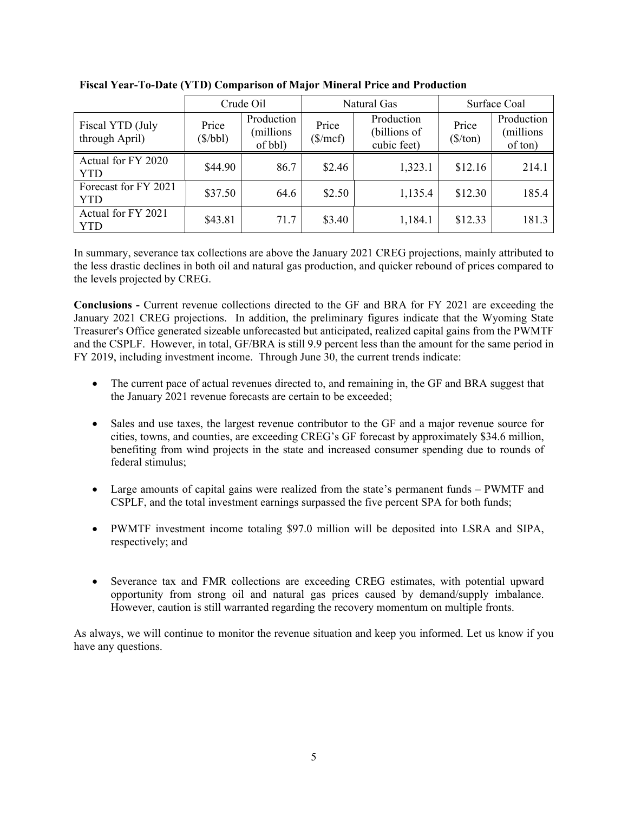|                                    | Crude Oil         |                                    |                     | Natural Gas                               | Surface Coal                      |                                    |  |
|------------------------------------|-------------------|------------------------------------|---------------------|-------------------------------------------|-----------------------------------|------------------------------------|--|
| Fiscal YTD (July<br>through April) | Price<br>(\$/bbl) | Production<br>(millions<br>of bbl) | Price<br>$(\$/mcf)$ | Production<br>(billions of<br>cubic feet) | Price<br>$(\frac{\sqrt{2}}{\pi})$ | Production<br>(millions<br>of ton) |  |
| Actual for FY 2020<br><b>YTD</b>   | \$44.90           | 86.7                               | \$2.46              | 1,323.1                                   | \$12.16                           | 214.1                              |  |
| Forecast for FY 2021<br><b>YTD</b> | \$37.50           | 64.6                               | \$2.50              | 1,135.4                                   | \$12.30                           | 185.4                              |  |
| Actual for FY 2021<br><b>YTD</b>   | \$43.81           | 71.7                               | \$3.40              | 1,184.1                                   | \$12.33                           | 181.3                              |  |

**Fiscal Year-To-Date (YTD) Comparison of Major Mineral Price and Production** 

In summary, severance tax collections are above the January 2021 CREG projections, mainly attributed to the less drastic declines in both oil and natural gas production, and quicker rebound of prices compared to the levels projected by CREG.

**Conclusions -** Current revenue collections directed to the GF and BRA for FY 2021 are exceeding the January 2021 CREG projections. In addition, the preliminary figures indicate that the Wyoming State Treasurer's Office generated sizeable unforecasted but anticipated, realized capital gains from the PWMTF and the CSPLF. However, in total, GF/BRA is still 9.9 percent less than the amount for the same period in FY 2019, including investment income. Through June 30, the current trends indicate:

- The current pace of actual revenues directed to, and remaining in, the GF and BRA suggest that the January 2021 revenue forecasts are certain to be exceeded;
- Sales and use taxes, the largest revenue contributor to the GF and a major revenue source for cities, towns, and counties, are exceeding CREG's GF forecast by approximately \$34.6 million, benefiting from wind projects in the state and increased consumer spending due to rounds of federal stimulus;
- Large amounts of capital gains were realized from the state's permanent funds PWMTF and CSPLF, and the total investment earnings surpassed the five percent SPA for both funds;
- PWMTF investment income totaling \$97.0 million will be deposited into LSRA and SIPA, respectively; and
- Severance tax and FMR collections are exceeding CREG estimates, with potential upward opportunity from strong oil and natural gas prices caused by demand/supply imbalance. However, caution is still warranted regarding the recovery momentum on multiple fronts.

As always, we will continue to monitor the revenue situation and keep you informed. Let us know if you have any questions.